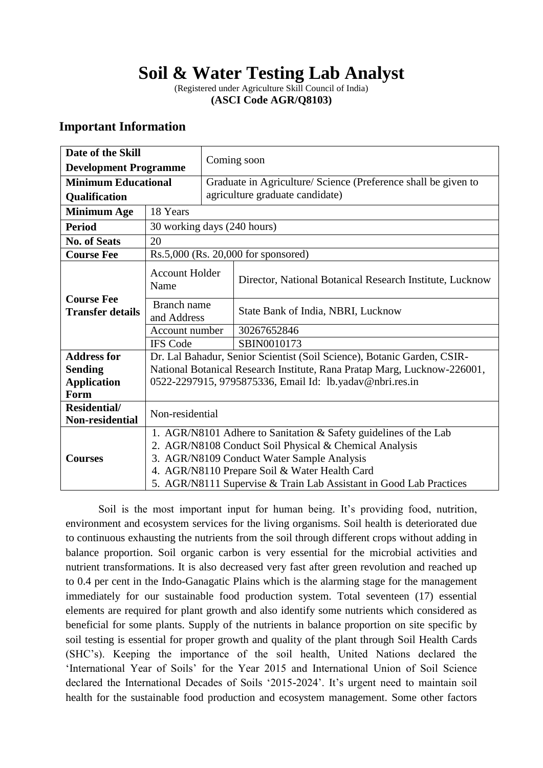# **Soil & Water Testing Lab Analyst**

(Registered under Agriculture Skill Council of India) **(ASCI Code AGR/Q8103)**

# **Important Information**

| Date of the Skill<br><b>Development Programme</b> |                                                                          | Coming soon                                                             |                                                                  |  |  |                            |
|---------------------------------------------------|--------------------------------------------------------------------------|-------------------------------------------------------------------------|------------------------------------------------------------------|--|--|----------------------------|
|                                                   |                                                                          |                                                                         |                                                                  |  |  | <b>Minimum Educational</b> |
| Qualification                                     |                                                                          | agriculture graduate candidate)                                         |                                                                  |  |  |                            |
| <b>Minimum Age</b>                                | 18 Years                                                                 |                                                                         |                                                                  |  |  |                            |
| <b>Period</b>                                     | 30 working days (240 hours)                                              |                                                                         |                                                                  |  |  |                            |
| <b>No. of Seats</b>                               | 20                                                                       |                                                                         |                                                                  |  |  |                            |
| <b>Course Fee</b>                                 | Rs.5,000 (Rs. 20,000 for sponsored)                                      |                                                                         |                                                                  |  |  |                            |
| <b>Course Fee</b><br><b>Transfer details</b>      | <b>Account Holder</b><br>Name                                            |                                                                         | Director, National Botanical Research Institute, Lucknow         |  |  |                            |
|                                                   | Branch name<br>and Address                                               |                                                                         | State Bank of India, NBRI, Lucknow                               |  |  |                            |
|                                                   | Account number                                                           |                                                                         | 30267652846                                                      |  |  |                            |
|                                                   | <b>IFS</b> Code                                                          |                                                                         | SBIN0010173                                                      |  |  |                            |
| <b>Address for</b>                                |                                                                          | Dr. Lal Bahadur, Senior Scientist (Soil Science), Botanic Garden, CSIR- |                                                                  |  |  |                            |
| <b>Sending</b>                                    | National Botanical Research Institute, Rana Pratap Marg, Lucknow-226001, |                                                                         |                                                                  |  |  |                            |
| <b>Application</b>                                | 0522-2297915, 9795875336, Email Id: lb.yadav@nbri.res.in                 |                                                                         |                                                                  |  |  |                            |
| Form                                              |                                                                          |                                                                         |                                                                  |  |  |                            |
| Residential/<br>Non-residential                   | Non-residential                                                          |                                                                         |                                                                  |  |  |                            |
|                                                   |                                                                          |                                                                         | 1. AGR/N8101 Adhere to Sanitation & Safety guidelines of the Lab |  |  |                            |
| <b>Courses</b>                                    | 2. AGR/N8108 Conduct Soil Physical & Chemical Analysis                   |                                                                         |                                                                  |  |  |                            |
|                                                   | 3. AGR/N8109 Conduct Water Sample Analysis                               |                                                                         |                                                                  |  |  |                            |
|                                                   | 4. AGR/N8110 Prepare Soil & Water Health Card                            |                                                                         |                                                                  |  |  |                            |
|                                                   | 5. AGR/N8111 Supervise & Train Lab Assistant in Good Lab Practices       |                                                                         |                                                                  |  |  |                            |

Soil is the most important input for human being. It's providing food, nutrition, environment and ecosystem services for the living organisms. Soil health is deteriorated due to continuous exhausting the nutrients from the soil through different crops without adding in balance proportion. Soil organic carbon is very essential for the microbial activities and nutrient transformations. It is also decreased very fast after green revolution and reached up to 0.4 per cent in the Indo-Ganagatic Plains which is the alarming stage for the management immediately for our sustainable food production system. Total seventeen (17) essential elements are required for plant growth and also identify some nutrients which considered as beneficial for some plants. Supply of the nutrients in balance proportion on site specific by soil testing is essential for proper growth and quality of the plant through Soil Health Cards (SHC's). Keeping the importance of the soil health, United Nations declared the 'International Year of Soils' for the Year 2015 and International Union of Soil Science declared the International Decades of Soils '2015-2024'. It's urgent need to maintain soil health for the sustainable food production and ecosystem management. Some other factors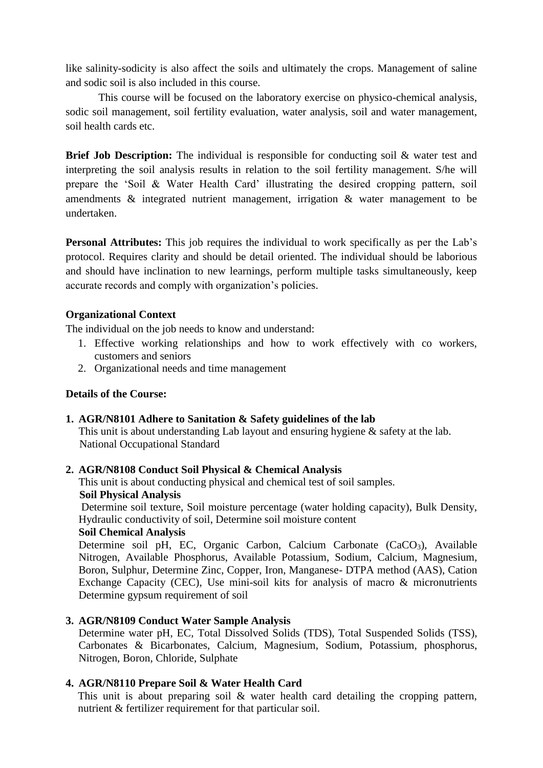like salinity-sodicity is also affect the soils and ultimately the crops. Management of saline and sodic soil is also included in this course.

This course will be focused on the laboratory exercise on physico-chemical analysis, sodic soil management, soil fertility evaluation, water analysis, soil and water management, soil health cards etc.

**Brief Job Description:** The individual is responsible for conducting soil & water test and interpreting the soil analysis results in relation to the soil fertility management. S/he will prepare the 'Soil & Water Health Card' illustrating the desired cropping pattern, soil amendments & integrated nutrient management, irrigation & water management to be undertaken.

**Personal Attributes:** This job requires the individual to work specifically as per the Lab's protocol. Requires clarity and should be detail oriented. The individual should be laborious and should have inclination to new learnings, perform multiple tasks simultaneously, keep accurate records and comply with organization's policies.

#### **Organizational Context**

The individual on the job needs to know and understand:

- 1. Effective working relationships and how to work effectively with co workers, customers and seniors
- 2. Organizational needs and time management

#### **Details of the Course:**

**1. AGR/N8101 Adhere to Sanitation & Safety guidelines of the lab**

This unit is about understanding Lab layout and ensuring hygiene & safety at the lab. National Occupational Standard

### **2. AGR/N8108 Conduct Soil Physical & Chemical Analysis**

This unit is about conducting physical and chemical test of soil samples.

### **Soil Physical Analysis**

Determine soil texture, Soil moisture percentage (water holding capacity), Bulk Density, Hydraulic conductivity of soil, Determine soil moisture content

#### **Soil Chemical Analysis**

Determine soil pH, EC, Organic Carbon, Calcium Carbonate  $(CaCO<sub>3</sub>)$ , Available Nitrogen, Available Phosphorus, Available Potassium, Sodium, Calcium, Magnesium, Boron, Sulphur, Determine Zinc, Copper, Iron, Manganese- DTPA method (AAS), Cation Exchange Capacity (CEC), Use mini-soil kits for analysis of macro & micronutrients Determine gypsum requirement of soil

### **3. AGR/N8109 Conduct Water Sample Analysis**

Determine water pH, EC, Total Dissolved Solids (TDS), Total Suspended Solids (TSS), Carbonates & Bicarbonates, Calcium, Magnesium, Sodium, Potassium, phosphorus, Nitrogen, Boron, Chloride, Sulphate

### **4. AGR/N8110 Prepare Soil & Water Health Card**

This unit is about preparing soil  $\&$  water health card detailing the cropping pattern, nutrient & fertilizer requirement for that particular soil.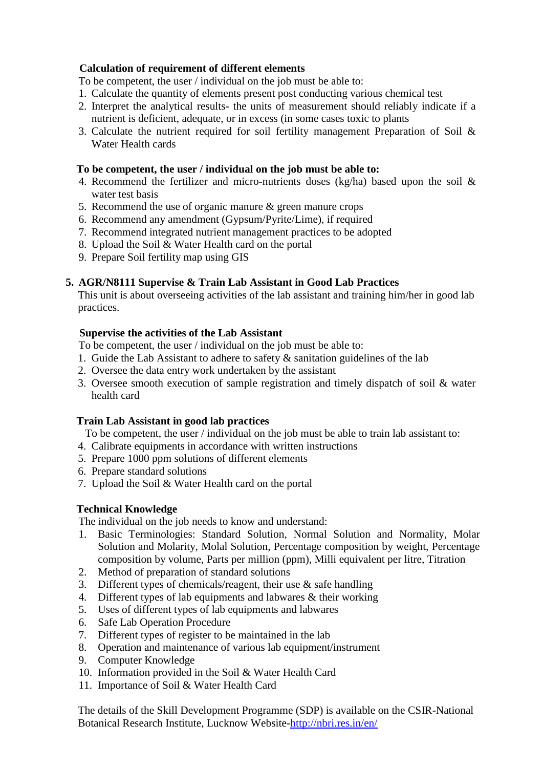# **Calculation of requirement of different elements**

To be competent, the user / individual on the job must be able to:

- 1. Calculate the quantity of elements present post conducting various chemical test
- 2. Interpret the analytical results- the units of measurement should reliably indicate if a nutrient is deficient, adequate, or in excess (in some cases toxic to plants
- 3. Calculate the nutrient required for soil fertility management Preparation of Soil & Water Health cards

#### **To be competent, the user / individual on the job must be able to:**

- 4. Recommend the fertilizer and micro-nutrients doses (kg/ha) based upon the soil & water test basis
- 5. Recommend the use of organic manure  $\&$  green manure crops
- 6. Recommend any amendment (Gypsum/Pyrite/Lime), if required
- 7. Recommend integrated nutrient management practices to be adopted
- 8. Upload the Soil & Water Health card on the portal
- 9. Prepare Soil fertility map using GIS

### **5. AGR/N8111 Supervise & Train Lab Assistant in Good Lab Practices**

This unit is about overseeing activities of the lab assistant and training him/her in good lab practices.

#### **Supervise the activities of the Lab Assistant**

To be competent, the user / individual on the job must be able to:

- 1. Guide the Lab Assistant to adhere to safety  $\&$  sanitation guidelines of the lab
- 2. Oversee the data entry work undertaken by the assistant
- 3. Oversee smooth execution of sample registration and timely dispatch of soil & water health card

### **Train Lab Assistant in good lab practices**

To be competent, the user / individual on the job must be able to train lab assistant to:

- 4. Calibrate equipments in accordance with written instructions
- 5. Prepare 1000 ppm solutions of different elements
- 6. Prepare standard solutions
- 7. Upload the Soil & Water Health card on the portal

### **Technical Knowledge**

The individual on the job needs to know and understand:

- 1. Basic Terminologies: Standard Solution, Normal Solution and Normality, Molar Solution and Molarity, Molal Solution, Percentage composition by weight, Percentage composition by volume, Parts per million (ppm), Milli equivalent per litre, Titration
- 2. Method of preparation of standard solutions
- 3. Different types of chemicals/reagent, their use & safe handling
- 4. Different types of lab equipments and labwares & their working
- 5. Uses of different types of lab equipments and labwares
- 6. Safe Lab Operation Procedure
- 7. Different types of register to be maintained in the lab
- 8. Operation and maintenance of various lab equipment/instrument
- 9. Computer Knowledge
- 10. Information provided in the Soil & Water Health Card
- 11. Importance of Soil & Water Health Card

The details of the Skill Development Programme (SDP) is available on the CSIR-National Botanical Research Institute, Lucknow Website[-http://nbri.res.in/en/](http://nbri.res.in/en/)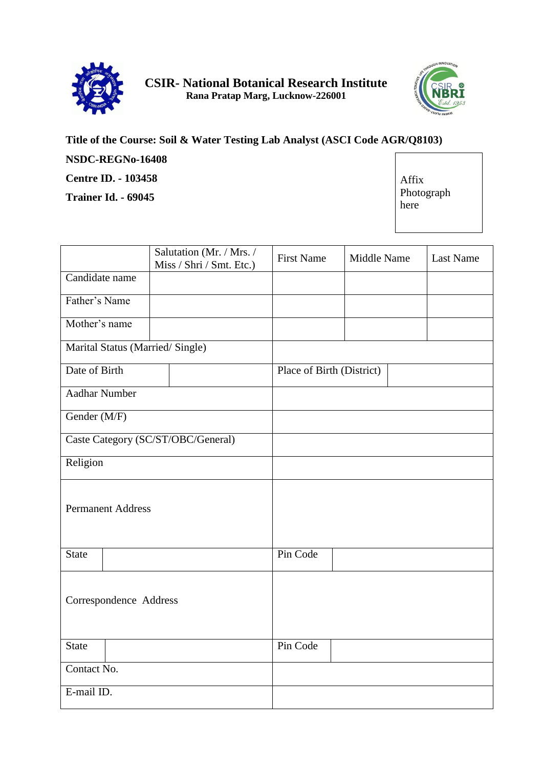



#### **Title of the Course: Soil & Water Testing Lab Analyst (ASCI Code AGR/Q8103) NSDC-REGNo-16408 Centre ID. - 103458 Trainer Id. - 69045** Affix Photograph here

|                                    | Salutation (Mr. / Mrs. /<br>Miss / Shri / Smt. Etc.) | <b>First Name</b> | Middle Name |  | Last Name |
|------------------------------------|------------------------------------------------------|-------------------|-------------|--|-----------|
| Candidate name                     |                                                      |                   |             |  |           |
| Father's Name                      |                                                      |                   |             |  |           |
| Mother's name                      |                                                      |                   |             |  |           |
| Marital Status (Married/Single)    |                                                      |                   |             |  |           |
| Date of Birth                      | Place of Birth (District)                            |                   |             |  |           |
| <b>Aadhar Number</b>               |                                                      |                   |             |  |           |
| Gender (M/F)                       |                                                      |                   |             |  |           |
| Caste Category (SC/ST/OBC/General) |                                                      |                   |             |  |           |
| Religion                           |                                                      |                   |             |  |           |
| <b>Permanent Address</b>           |                                                      |                   |             |  |           |
| <b>State</b>                       |                                                      | Pin Code          |             |  |           |
| Correspondence Address             |                                                      |                   |             |  |           |
| <b>State</b>                       |                                                      | Pin Code          |             |  |           |
| Contact No.                        |                                                      |                   |             |  |           |
| E-mail ID.                         |                                                      |                   |             |  |           |